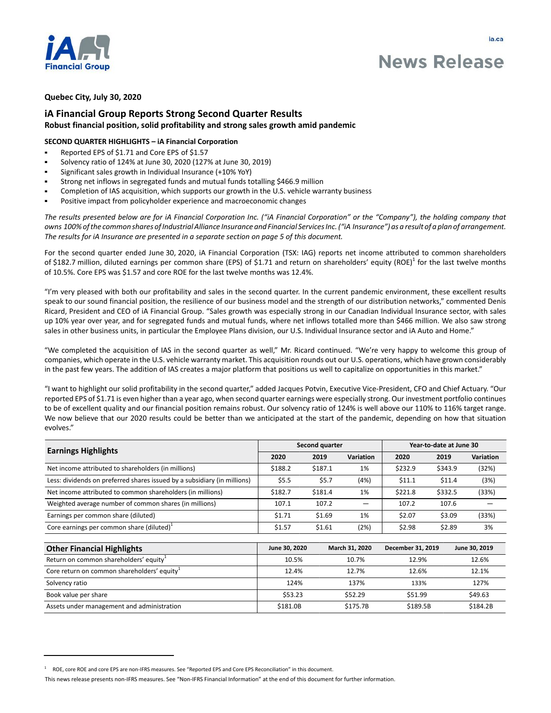

# **News Release**

## **Quebec City, July 30, 2020**

# **iA Financial Group Reports Strong Second Quarter Results Robust financial position, solid profitability and strong sales growth amid pandemic**

## **SECOND QUARTER HIGHLIGHTS – iA Financial Corporation**

- Reported EPS of \$1.71 and Core EPS of \$1.57
- Solvency ratio of 124% at June 30, 2020 (127% at June 30, 2019)
- Significant sales growth in Individual Insurance (+10% YoY)
- Strong net inflows in segregated funds and mutual funds totalling \$466.9 million
- Completion of IAS acquisition, which supports our growth in the U.S. vehicle warranty business
- Positive impact from policyholder experience and macroeconomic changes

*The results presented below are for iA Financial Corporation Inc. ("iA Financial Corporation" or the "Company"), the holding company that owns 100% of the common shares of Industrial Alliance Insurance and Financial Services Inc. ("iA Insurance") as a result of a plan of arrangement. The results for iA Insurance are presented in a separate section on page 5 of this document.* 

For the second quarter ended June 30, 2020, iA Financial Corporation (TSX: IAG) reports net income attributed to common shareholders of \$182.7 million, diluted earnings per common share (EPS) of \$1.71 and return on shareholders' equity (ROE)<sup>1</sup> for the last twelve months of 10.5%. Core EPS was \$1.57 and core ROE for the last twelve months was 12.4%.

"I'm very pleased with both our profitability and sales in the second quarter. In the current pandemic environment, these excellent results speak to our sound financial position, the resilience of our business model and the strength of our distribution networks," commented Denis Ricard, President and CEO of iA Financial Group. "Sales growth was especially strong in our Canadian Individual Insurance sector, with sales up 10% year over year, and for segregated funds and mutual funds, where net inflows totalled more than \$466 million. We also saw strong sales in other business units, in particular the Employee Plans division, our U.S. Individual Insurance sector and iA Auto and Home."

"We completed the acquisition of IAS in the second quarter as well," Mr. Ricard continued. "We're very happy to welcome this group of companies, which operate in the U.S. vehicle warranty market. This acquisition rounds out our U.S. operations, which have grown considerably in the past few years. The addition of IAS creates a major platform that positions us well to capitalize on opportunities in this market."

"I want to highlight our solid profitability in the second quarter," added Jacques Potvin, Executive Vice-President, CFO and Chief Actuary. "Our reported EPS of \$1.71 is even higher than a year ago, when second quarter earnings were especially strong. Our investment portfolio continues to be of excellent quality and our financial position remains robust. Our solvency ratio of 124% is well above our 110% to 116% target range. We now believe that our 2020 results could be better than we anticipated at the start of the pandemic, depending on how that situation evolves."

|                                                                          | Second quarter |         |                | Year-to-date at June 30 |         |                  |
|--------------------------------------------------------------------------|----------------|---------|----------------|-------------------------|---------|------------------|
| <b>Earnings Highlights</b>                                               | 2020           | 2019    | Variation      | 2020                    | 2019    | <b>Variation</b> |
| Net income attributed to shareholders (in millions)                      | \$188.2        | \$187.1 | 1%             | \$232.9                 | \$343.9 | (32%)            |
| Less: dividends on preferred shares issued by a subsidiary (in millions) | \$5.5          | \$5.7   | (4%)           | \$11.1                  | \$11.4  | (3%)             |
| Net income attributed to common shareholders (in millions)               | \$182.7        | \$181.4 | 1%             | \$221.8                 | \$332.5 | (33%)            |
| Weighted average number of common shares (in millions)                   | 107.1          | 107.2   |                | 107.2                   | 107.6   |                  |
| Earnings per common share (diluted)                                      | \$1.71         | \$1.69  | 1%             | \$2.07                  | \$3.09  | (33%)            |
| Core earnings per common share $(diluted)^1$                             | \$1.57         | \$1.61  | (2%)           | \$2.98                  | \$2.89  | 3%               |
| <b>Other Financial Highlights</b>                                        | June 30, 2020  |         | March 31, 2020 | December 31, 2019       |         | June 30, 2019    |
| Return on common shareholders' equity <sup>1</sup>                       | 10.5%          |         | 10.7%          | 12.9%                   |         | 12.6%            |
| Core return on common shareholders' equity $\mu$                         | 12.4%          |         | 12.7%          | 12.6%                   |         | 12.1%            |
| Solvency ratio                                                           | 124%           |         | 137%           | 133%                    |         | 127%             |

Book value per share \$49.63 \$49.63 \$53.23 \$52.29 \$52.29 \$53.93 \$53.23 \$53.99 \$49.63 Assets under management and administration **1980 184.2B** \$184.2B \$175.7B \$189.5B \$184.2B

<sup>1</sup> ROE, core ROE and core EPS are non-IFRS measures. See "Reported EPS and Core EPS Reconciliation" in this document.

This news release presents non-IFRS measures. See "Non-IFRS Financial Information" at the end of this document for further information.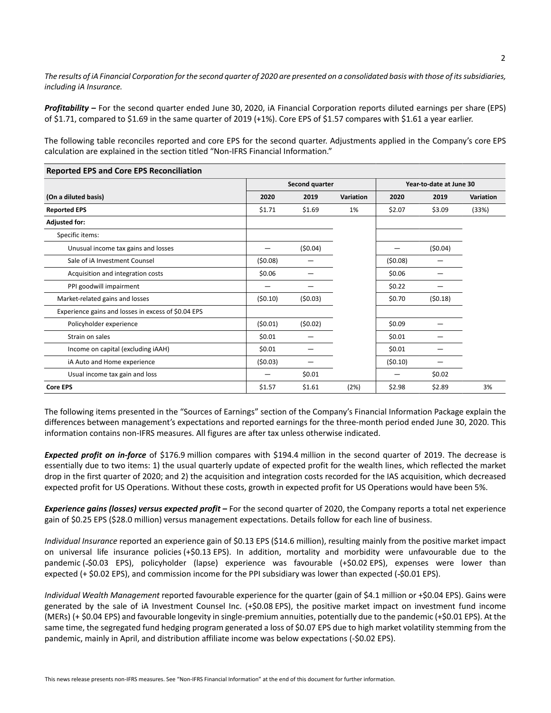*The results of iA Financial Corporation for the second quarter of 2020 are presented on a consolidated basis with those of its subsidiaries, including iA Insurance.*

*Profitability –* For the second quarter ended June 30, 2020, iA Financial Corporation reports diluted earnings per share (EPS) of \$1.71, compared to \$1.69 in the same quarter of 2019 (+1%). Core EPS of \$1.57 compares with \$1.61 a year earlier.

The following table reconciles reported and core EPS for the second quarter. Adjustments applied in the Company's core EPS calculation are explained in the section titled "Non-IFRS Financial Information."

|                                                     |         | Second quarter |           |         | Year-to-date at June 30 |           |  |
|-----------------------------------------------------|---------|----------------|-----------|---------|-------------------------|-----------|--|
| (On a diluted basis)                                | 2020    | 2019           | Variation | 2020    | 2019                    | Variation |  |
| <b>Reported EPS</b>                                 | \$1.71  | \$1.69         | 1%        | \$2.07  | \$3.09                  | (33%)     |  |
| <b>Adjusted for:</b>                                |         |                |           |         |                         |           |  |
| Specific items:                                     |         |                |           |         |                         |           |  |
| Unusual income tax gains and losses                 |         | (50.04)        |           |         | (50.04)                 |           |  |
| Sale of iA Investment Counsel                       | (50.08) |                |           | (50.08) |                         |           |  |
| Acquisition and integration costs                   | \$0.06  |                |           | \$0.06  |                         |           |  |
| PPI goodwill impairment                             |         |                |           | \$0.22  |                         |           |  |
| Market-related gains and losses                     | (50.10) | (50.03)        |           | \$0.70  | (50.18)                 |           |  |
| Experience gains and losses in excess of \$0.04 EPS |         |                |           |         |                         |           |  |
| Policyholder experience                             | (50.01) | (50.02)        |           | \$0.09  |                         |           |  |
| Strain on sales                                     | \$0.01  |                |           | \$0.01  |                         |           |  |
| Income on capital (excluding iAAH)                  | \$0.01  |                |           | \$0.01  |                         |           |  |
| iA Auto and Home experience                         | (50.03) |                |           | (50.10) |                         |           |  |
| Usual income tax gain and loss                      |         | \$0.01         |           |         | \$0.02                  |           |  |
| <b>Core EPS</b>                                     | \$1.57  | \$1.61         | (2%)      | \$2.98  | \$2.89                  | 3%        |  |

**Reported EPS and Core EPS Reconciliation**

The following items presented in the "Sources of Earnings" section of the Company's Financial Information Package explain the differences between management's expectations and reported earnings for the three-month period ended June 30, 2020. This information contains non-IFRS measures. All figures are after tax unless otherwise indicated.

*Expected profit on in-force* of \$176.9 million compares with \$194.4 million in the second quarter of 2019. The decrease is essentially due to two items: 1) the usual quarterly update of expected profit for the wealth lines, which reflected the market drop in the first quarter of 2020; and 2) the acquisition and integration costs recorded for the IAS acquisition, which decreased expected profit for US Operations. Without these costs, growth in expected profit for US Operations would have been 5%.

*Experience gains (losses) versus expected profit –* For the second quarter of 2020, the Company reports a total net experience gain of \$0.25 EPS (\$28.0 million) versus management expectations. Details follow for each line of business.

*Individual Insurance* reported an experience gain of \$0.13 EPS (\$14.6 million), resulting mainly from the positive market impact on universal life insurance policies (+\$0.13 EPS). In addition, mortality and morbidity were unfavourable due to the pandemic (-\$0.03 EPS), policyholder (lapse) experience was favourable (+\$0.02 EPS), expenses were lower than expected (+ \$0.02 EPS), and commission income for the PPI subsidiary was lower than expected (-\$0.01 EPS).

*Individual Wealth Management* reported favourable experience for the quarter (gain of \$4.1 million or +\$0.04 EPS). Gains were generated by the sale of iA Investment Counsel Inc. (+\$0.08 EPS), the positive market impact on investment fund income (MERs) (+ \$0.04 EPS) and favourable longevity in single-premium annuities, potentially due to the pandemic (+\$0.01 EPS). At the same time, the segregated fund hedging program generated a loss of \$0.07 EPS due to high market volatility stemming from the pandemic, mainly in April, and distribution affiliate income was below expectations (-\$0.02 EPS).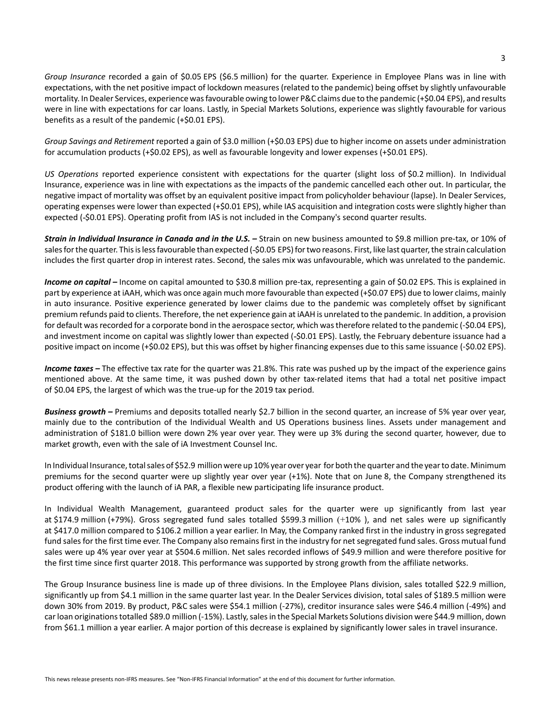*Group Insurance* recorded a gain of \$0.05 EPS (\$6.5 million) for the quarter. Experience in Employee Plans was in line with expectations, with the net positive impact of lockdown measures (related to the pandemic) being offset by slightly unfavourable mortality. In Dealer Services, experience was favourable owing to lower P&C claims due to the pandemic (+\$0.04 EPS), and results were in line with expectations for car loans. Lastly, in Special Markets Solutions, experience was slightly favourable for various benefits as a result of the pandemic (+\$0.01 EPS).

*Group Savings and Retirement* reported a gain of \$3.0 million (+\$0.03 EPS) due to higher income on assets under administration for accumulation products (+\$0.02 EPS), as well as favourable longevity and lower expenses (+\$0.01 EPS).

*US Operations* reported experience consistent with expectations for the quarter (slight loss of \$0.2 million). In Individual Insurance, experience was in line with expectations as the impacts of the pandemic cancelled each other out. In particular, the negative impact of mortality was offset by an equivalent positive impact from policyholder behaviour (lapse). In Dealer Services, operating expenses were lower than expected (+\$0.01 EPS), while IAS acquisition and integration costs were slightly higher than expected (-\$0.01 EPS). Operating profit from IAS is not included in the Company's second quarter results.

*Strain in Individual Insurance in Canada and in the U.S.* – Strain on new business amounted to \$9.8 million pre-tax, or 10% of sales for the quarter. This is less favourable than expected (-\$0.05 EPS) for two reasons. First, like last quarter, the strain calculation includes the first quarter drop in interest rates. Second, the sales mix was unfavourable, which was unrelated to the pandemic.

Income on capital – Income on capital amounted to \$30.8 million pre-tax, representing a gain of \$0.02 EPS. This is explained in part by experience at iAAH, which was once again much more favourable than expected (+\$0.07 EPS) due to lower claims, mainly in auto insurance. Positive experience generated by lower claims due to the pandemic was completely offset by significant premium refunds paid to clients. Therefore, the net experience gain at iAAH is unrelated to the pandemic. In addition, a provision for default was recorded for a corporate bond in the aerospace sector, which was therefore related to the pandemic (-\$0.04 EPS), and investment income on capital was slightly lower than expected (-\$0.01 EPS). Lastly, the February debenture issuance had a positive impact on income (+\$0.02 EPS), but this was offset by higher financing expenses due to this same issuance (-\$0.02 EPS).

*Income taxes –* The effective tax rate for the quarter was 21.8%. This rate was pushed up by the impact of the experience gains mentioned above. At the same time, it was pushed down by other tax-related items that had a total net positive impact of \$0.04 EPS, the largest of which was the true-up for the 2019 tax period.

*Business growth –* Premiums and deposits totalled nearly \$2.7 billion in the second quarter, an increase of 5% year over year, mainly due to the contribution of the Individual Wealth and US Operations business lines. Assets under management and administration of \$181.0 billion were down 2% year over year. They were up 3% during the second quarter, however, due to market growth, even with the sale of iA Investment Counsel Inc.

In Individual Insurance, total sales of \$52.9 million were up 10% year over year for both the quarter and the year to date. Minimum premiums for the second quarter were up slightly year over year (+1%). Note that on June 8, the Company strengthened its product offering with the launch of iA PAR, a flexible new participating life insurance product.

In Individual Wealth Management, guaranteed product sales for the quarter were up significantly from last year at \$174.9 million (+79%). Gross segregated fund sales totalled \$599.3 million (+10% ), and net sales were up significantly at \$417.0 million compared to \$106.2 million a year earlier. In May, the Company ranked first in the industry in gross segregated fund sales for the first time ever. The Company also remains first in the industry for net segregated fund sales. Gross mutual fund sales were up 4% year over year at \$504.6 million. Net sales recorded inflows of \$49.9 million and were therefore positive for the first time since first quarter 2018. This performance was supported by strong growth from the affiliate networks.

The Group Insurance business line is made up of three divisions. In the Employee Plans division, sales totalled \$22.9 million, significantly up from \$4.1 million in the same quarter last year. In the Dealer Services division, total sales of \$189.5 million were down 30% from 2019. By product, P&C sales were \$54.1 million (-27%), creditor insurance sales were \$46.4 million (-49%) and car loan originations totalled \$89.0 million (-15%). Lastly, sales in the Special Markets Solutions division were \$44.9 million, down from \$61.1 million a year earlier. A major portion of this decrease is explained by significantly lower sales in travel insurance.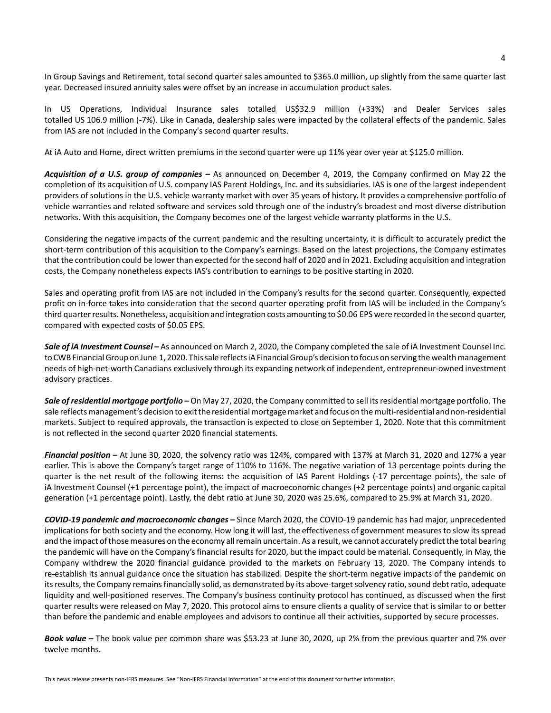In Group Savings and Retirement, total second quarter sales amounted to \$365.0 million, up slightly from the same quarter last year. Decreased insured annuity sales were offset by an increase in accumulation product sales.

In US Operations, Individual Insurance sales totalled US\$32.9 million (+33%) and Dealer Services sales totalled US 106.9 million (-7%). Like in Canada, dealership sales were impacted by the collateral effects of the pandemic. Sales from IAS are not included in the Company's second quarter results.

At iA Auto and Home, direct written premiums in the second quarter were up 11% year over year at \$125.0 million.

*Acquisition of a U.S. group of companies –* As announced on December 4, 2019, the Company confirmed on May 22 the completion of its acquisition of U.S. company IAS Parent Holdings, Inc. and its subsidiaries. IAS is one of the largest independent providers of solutions in the U.S. vehicle warranty market with over 35 years of history. It provides a comprehensive portfolio of vehicle warranties and related software and services sold through one of the industry's broadest and most diverse distribution networks. With this acquisition, the Company becomes one of the largest vehicle warranty platforms in the U.S.

Considering the negative impacts of the current pandemic and the resulting uncertainty, it is difficult to accurately predict the short-term contribution of this acquisition to the Company's earnings. Based on the latest projections, the Company estimates that the contribution could be lower than expected for the second half of 2020 and in 2021. Excluding acquisition and integration costs, the Company nonetheless expects IAS's contribution to earnings to be positive starting in 2020.

Sales and operating profit from IAS are not included in the Company's results for the second quarter. Consequently, expected profit on in-force takes into consideration that the second quarter operating profit from IAS will be included in the Company's third quarter results. Nonetheless, acquisition and integration costs amounting to \$0.06 EPS were recorded in the second quarter, compared with expected costs of \$0.05 EPS.

*Sale of iA Investment Counsel –* As announced on March 2, 2020, the Company completed the sale of iA Investment Counsel Inc. to CWB Financial Group on June 1, 2020. This sale reflects iA Financial Group's decision to focus on serving the wealth management needs of high-net-worth Canadians exclusively through its expanding network of independent, entrepreneur-owned investment advisory practices.

*Sale of residential mortgage portfolio –* On May 27, 2020, the Company committed to sell its residential mortgage portfolio. The sale reflects management's decision to exit the residential mortgage market and focus on the multi-residential and non-residential markets. Subject to required approvals, the transaction is expected to close on September 1, 2020. Note that this commitment is not reflected in the second quarter 2020 financial statements.

*Financial position –* At June 30, 2020, the solvency ratio was 124%, compared with 137% at March 31, 2020 and 127% a year earlier. This is above the Company's target range of 110% to 116%. The negative variation of 13 percentage points during the quarter is the net result of the following items: the acquisition of IAS Parent Holdings (-17 percentage points), the sale of iA Investment Counsel (+1 percentage point), the impact of macroeconomic changes (+2 percentage points) and organic capital generation (+1 percentage point). Lastly, the debt ratio at June 30, 2020 was 25.6%, compared to 25.9% at March 31, 2020.

*COVID-19 pandemic and macroeconomic changes –* Since March 2020, the COVID-19 pandemic has had major, unprecedented implications for both society and the economy. How long it will last, the effectiveness of government measures to slow its spread and the impact of those measures on the economy all remain uncertain. As a result, we cannot accurately predict the total bearing the pandemic will have on the Company's financial results for 2020, but the impact could be material. Consequently, in May, the Company withdrew the 2020 financial guidance provided to the markets on February 13, 2020. The Company intends to re establish its annual guidance once the situation has stabilized. Despite the short-term negative impacts of the pandemic on its results, the Company remains financially solid, as demonstrated by its above-target solvency ratio, sound debt ratio, adequate liquidity and well-positioned reserves. The Company's business continuity protocol has continued, as discussed when the first quarter results were released on May 7, 2020. This protocol aims to ensure clients a quality of service that is similar to or better than before the pandemic and enable employees and advisors to continue all their activities, supported by secure processes.

*Book value –* The book value per common share was \$53.23 at June 30, 2020, up 2% from the previous quarter and 7% over twelve months.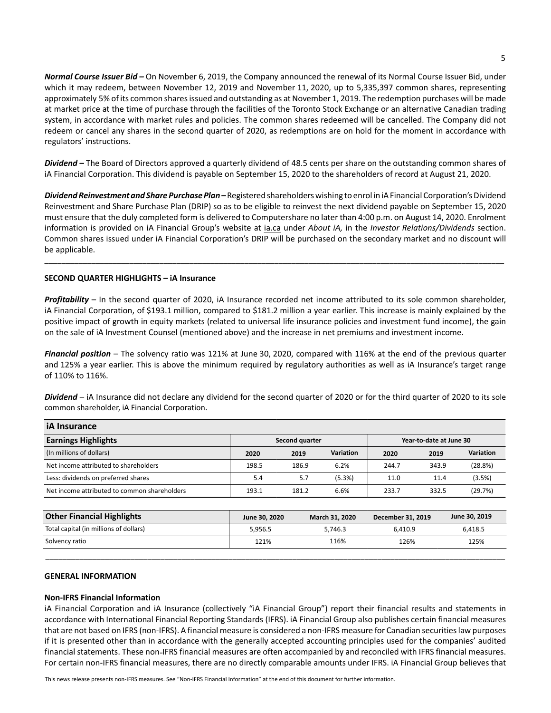*Normal Course Issuer Bid –* On November 6, 2019, the Company announced the renewal of its Normal Course Issuer Bid, under which it may redeem, between November 12, 2019 and November 11, 2020, up to 5,335,397 common shares, representing approximately 5% of its common shares issued and outstanding as at November 1, 2019. The redemption purchases will be made at market price at the time of purchase through the facilities of the Toronto Stock Exchange or an alternative Canadian trading system, in accordance with market rules and policies. The common shares redeemed will be cancelled. The Company did not redeem or cancel any shares in the second quarter of 2020, as redemptions are on hold for the moment in accordance with regulators' instructions.

*Dividend –* The Board of Directors approved a quarterly dividend of 48.5 cents per share on the outstanding common shares of iA Financial Corporation. This dividend is payable on September 15, 2020 to the shareholders of record at August 21, 2020.

*Dividend Reinvestment and Share Purchase Plan –* Registered shareholders wishing to enrol in iA Financial Corporation's Dividend Reinvestment and Share Purchase Plan (DRIP) so as to be eligible to reinvest the next dividend payable on September 15, 2020 must ensure that the duly completed form is delivered to Computershare no later than 4:00 p.m. on August 14, 2020. Enrolment information is provided on iA Financial Group's website at [ia.ca](www.ia.ca) under *About iA,* in the *Investor Relations/Dividends* section. Common shares issued under iA Financial Corporation's DRIP will be purchased on the secondary market and no discount will be applicable.

\_\_\_\_\_\_\_\_\_\_\_\_\_\_\_\_\_\_\_\_\_\_\_\_\_\_\_\_\_\_\_\_\_\_\_\_\_\_\_\_\_\_\_\_\_\_\_\_\_\_\_\_\_\_\_\_\_\_\_\_\_\_\_\_\_\_\_\_\_\_\_\_\_\_\_\_\_\_\_\_\_\_\_\_\_\_\_\_\_\_\_\_\_\_\_\_\_\_\_\_\_\_\_\_\_\_\_\_

## **SECOND QUARTER HIGHLIGHTS – iA Insurance**

*Profitability* – In the second quarter of 2020, iA Insurance recorded net income attributed to its sole common shareholder, iA Financial Corporation, of \$193.1 million, compared to \$181.2 million a year earlier. This increase is mainly explained by the positive impact of growth in equity markets (related to universal life insurance policies and investment fund income), the gain on the sale of iA Investment Counsel (mentioned above) and the increase in net premiums and investment income.

*Financial position* – The solvency ratio was 121% at June 30, 2020, compared with 116% at the end of the previous quarter and 125% a year earlier. This is above the minimum required by regulatory authorities as well as iA Insurance's target range of 110% to 116%.

*Dividend* – iA Insurance did not declare any dividend for the second quarter of 2020 or for the third quarter of 2020 to its sole common shareholder, iA Financial Corporation.

| <b>iA</b> Insurance                          |                |       |           |                         |       |           |  |
|----------------------------------------------|----------------|-------|-----------|-------------------------|-------|-----------|--|
| <b>Earnings Highlights</b>                   | Second quarter |       |           | Year-to-date at June 30 |       |           |  |
| (In millions of dollars)                     | 2020           | 2019  | Variation | 2020                    | 2019  | Variation |  |
| Net income attributed to shareholders        | 198.5          | 186.9 | 6.2%      | 244.7                   | 343.9 | (28.8%)   |  |
| Less: dividends on preferred shares          | 5.4            | 5.7   | (5.3%)    | 11.0                    | 11.4  | (3.5%)    |  |
| Net income attributed to common shareholders | 193.1          | 181.2 | 6.6%      | 233.7                   | 332.5 | (29.7%)   |  |

| <b>Other Financial Highlights</b>      | June 30, 2020 | <b>March 31, 2020</b> | December 31, 2019 | June 30, 2019 |
|----------------------------------------|---------------|-----------------------|-------------------|---------------|
| Total capital (in millions of dollars) | 5.956.5       | 5.746.3               | 6.410.9           | 6,418.5       |
| Solvency ratio                         | 121%          | 116%                  | 126%              | 125%          |
|                                        |               |                       |                   |               |

## **GENERAL INFORMATION**

#### **Non-IFRS Financial Information**

iA Financial Corporation and iA Insurance (collectively "iA Financial Group") report their financial results and statements in accordance with International Financial Reporting Standards (IFRS). iA Financial Group also publishes certain financial measures that are not based on IFRS (non-IFRS). A financial measure is considered a non-IFRS measure for Canadian securities law purposes if it is presented other than in accordance with the generally accepted accounting principles used for the companies' audited financial statements. These non-IFRS financial measures are often accompanied by and reconciled with IFRS financial measures. For certain non-IFRS financial measures, there are no directly comparable amounts under IFRS. iA Financial Group believes that

This news release presents non-IFRS measures. See "Non-IFRS Financial Information" at the end of this document for further information.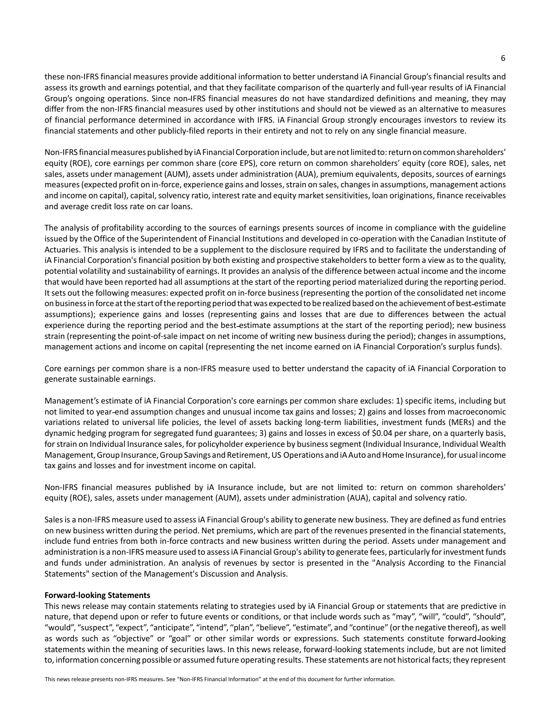these non-IFRS financial measures provide additional information to better understand iA Financial Group's financial results and assess its growth and earnings potential, and that they facilitate comparison of the quarterly and full-year results of iA Financial Group's ongoing operations. Since non-IFRS financial measures do not have standardized definitions and meaning, they may differ from the non-IFRS financial measures used by other institutions and should not be viewed as an alternative to measures of financial performance determined in accordance with IFRS. iA Financial Group strongly encourages investors to review its financial statements and other publicly-filed reports in their entirety and not to rely on any single financial measure.

Non-IFRS financial measures published by iA Financial Corporation include, but are not limited to: return on common shareholders' equity (ROE), core earnings per common share (core EPS), core return on common shareholders' equity (core ROE), sales, net sales, assets under management (AUM), assets under administration (AUA), premium equivalents, deposits, sources of earnings measures (expected profit on in-force, experience gains and losses, strain on sales, changes in assumptions, management actions and income on capital), capital, solvency ratio, interest rate and equity market sensitivities, loan originations, finance receivables and average credit loss rate on car loans.

The analysis of profitability according to the sources of earnings presents sources of income in compliance with the guideline issued by the Office of the Superintendent of Financial Institutions and developed in co-operation with the Canadian Institute of Actuaries. This analysis is intended to be a supplement to the disclosure required by IFRS and to facilitate the understanding of iA Financial Corporation's financial position by both existing and prospective stakeholders to better form a view as to the quality, potential volatility and sustainability of earnings. It provides an analysis of the difference between actual income and the income that would have been reported had all assumptions at the start of the reporting period materialized during the reporting period. It sets out the following measures: expected profit on in-force business (representing the portion of the consolidated net income on business in force at the start of the reporting period that was expected to be realized based on the achievement of best estimate assumptions); experience gains and losses (representing gains and losses that are due to differences between the actual experience during the reporting period and the best estimate assumptions at the start of the reporting period); new business strain (representing the point-of-sale impact on net income of writing new business during the period); changes in assumptions, management actions and income on capital (representing the net income earned on iA Financial Corporation's surplus funds).

Core earnings per common share is a non-IFRS measure used to better understand the capacity of iA Financial Corporation to generate sustainable earnings.

Management's estimate of iA Financial Corporation's core earnings per common share excludes: 1) specific items, including but not limited to year end assumption changes and unusual income tax gains and losses; 2) gains and losses from macroeconomic variations related to universal life policies, the level of assets backing long-term liabilities, investment funds (MERs) and the dynamic hedging program for segregated fund guarantees; 3) gains and losses in excess of \$0.04 per share, on a quarterly basis, for strain on Individual Insurance sales, for policyholder experience by business segment (Individual Insurance, Individual Wealth Management, Group Insurance, Group Savings and Retirement, US Operations and iA Auto and Home Insurance), for usual income tax gains and losses and for investment income on capital.

Non-IFRS financial measures published by iA Insurance include, but are not limited to: return on common shareholders' equity (ROE), sales, assets under management (AUM), assets under administration (AUA), capital and solvency ratio.

Sales is a non-IFRS measure used to assess iA Financial Group's ability to generate new business. They are defined as fund entries on new business written during the period. Net premiums, which are part of the revenues presented in the financial statements, include fund entries from both in-force contracts and new business written during the period. Assets under management and administration is a non-IFRS measure used to assess iA Financial Group's ability to generate fees, particularly for investment funds and funds under administration. An analysis of revenues by sector is presented in the "Analysis According to the Financial Statements" section of the Management's Discussion and Analysis.

## **Forward-looking Statements**

This news release may contain statements relating to strategies used by iA Financial Group or statements that are predictive in nature, that depend upon or refer to future events or conditions, or that include words such as "may", "will", "could", "should", "would", "suspect", "expect", "anticipate", "intend", "plan", "believe", "estimate", and "continue" (or the negative thereof), as well as words such as "objective" or "goal" or other similar words or expressions. Such statements constitute forward looking statements within the meaning of securities laws. In this news release, forward-looking statements include, but are not limited to, information concerning possible or assumed future operating results. These statements are not historical facts; they represent